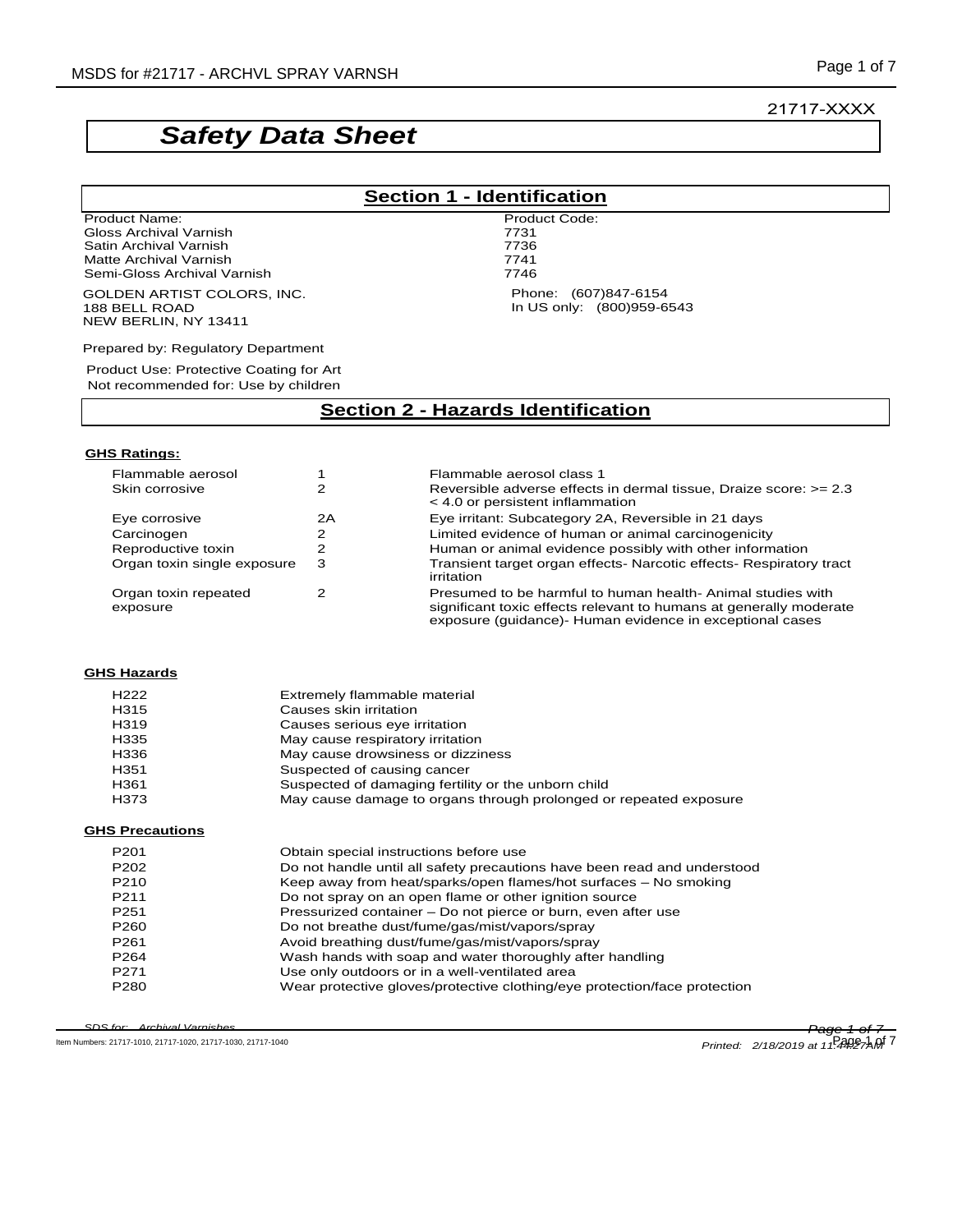# *Safety Data Sheet*

Product Name: Product Code: Gloss Archival Varnish 1986 (1998) 1996 (1997) 1997 (1998) 1998 (1998) 1998 (1998) 1998 (1998) 1998 (1998) 19<br>Traditional Varnish 1999 (1999) 1999 (1999) 1999 (1999) 1999 (1999) 1999 (1999) 1999 (1999) 1999 (1999) 1999 ( Satin Archival Varnish 7736<br>
Matte Archival Varnish 7741 Matte Archival Varnish 7741 Semi-Gloss Archival Varnish

GOLDEN ARTIST COLORS, INC. 188 BELL ROAD NEW BERLIN, NY 13411

Prepared by: Regulatory Department

Product Use: Protective Coating for Art Not recommended for: Use by children

### **Section 2 - Hazards Identification**

### **GHS Ratings:**

| Flammable aerosol                |    | Flammable aerosol class 1                                                                                                                                                                     |
|----------------------------------|----|-----------------------------------------------------------------------------------------------------------------------------------------------------------------------------------------------|
| Skin corrosive                   |    | Reversible adverse effects in dermal tissue, Draize score: >= 2.3<br>$<$ 4.0 or persistent inflammation                                                                                       |
| Eye corrosive                    | 2Α | Eye irritant: Subcategory 2A, Reversible in 21 days                                                                                                                                           |
| Carcinogen                       |    | Limited evidence of human or animal carcinogenicity                                                                                                                                           |
| Reproductive toxin               |    | Human or animal evidence possibly with other information                                                                                                                                      |
| Organ toxin single exposure      | 3  | Transient target organ effects- Narcotic effects- Respiratory tract<br>irritation                                                                                                             |
| Organ toxin repeated<br>exposure |    | Presumed to be harmful to human health- Animal studies with<br>significant toxic effects relevant to humans at generally moderate<br>exposure (guidance)- Human evidence in exceptional cases |

#### **GHS Hazards**

| H <sub>222</sub> | Extremely flammable material                                      |
|------------------|-------------------------------------------------------------------|
| H315             | Causes skin irritation                                            |
| H319             | Causes serious eye irritation                                     |
| H335             | May cause respiratory irritation                                  |
| H336             | May cause drowsiness or dizziness                                 |
| H351             | Suspected of causing cancer                                       |
| H361             | Suspected of damaging fertility or the unborn child               |
| H373             | May cause damage to organs through prolonged or repeated exposure |

#### **GHS Precautions**

| P <sub>201</sub> | Obtain special instructions before use                                    |
|------------------|---------------------------------------------------------------------------|
| P <sub>202</sub> | Do not handle until all safety precautions have been read and understood  |
| P <sub>210</sub> | Keep away from heat/sparks/open flames/hot surfaces - No smoking          |
| P <sub>211</sub> | Do not spray on an open flame or other ignition source                    |
| P <sub>251</sub> | Pressurized container – Do not pierce or burn, even after use             |
| P <sub>260</sub> | Do not breathe dust/fume/gas/mist/vapors/spray                            |
| P <sub>261</sub> | Avoid breathing dust/fume/gas/mist/vapors/spray                           |
| P <sub>264</sub> | Wash hands with soap and water thoroughly after handling                  |
| P <sub>271</sub> | Use only outdoors or in a well-ventilated area                            |
| P <sub>280</sub> | Wear protective gloves/protective clothing/eye protection/face protection |

*SDS for: Archival Varnishes Page 1 of 7*

SDS for: Archival Varnishes<br>
Item Numbers: 21717-1010, 21717-1020, 21717-1030, 21717-1040 Printed: 2/18/2019 at 11-4

*Printed:* 2/18/2019 at 11:4427AM<sup>7</sup>

21717-XXXX

# **Section 1 - Identification**

Phone: (607)847-6154 In US only: (800)959-6543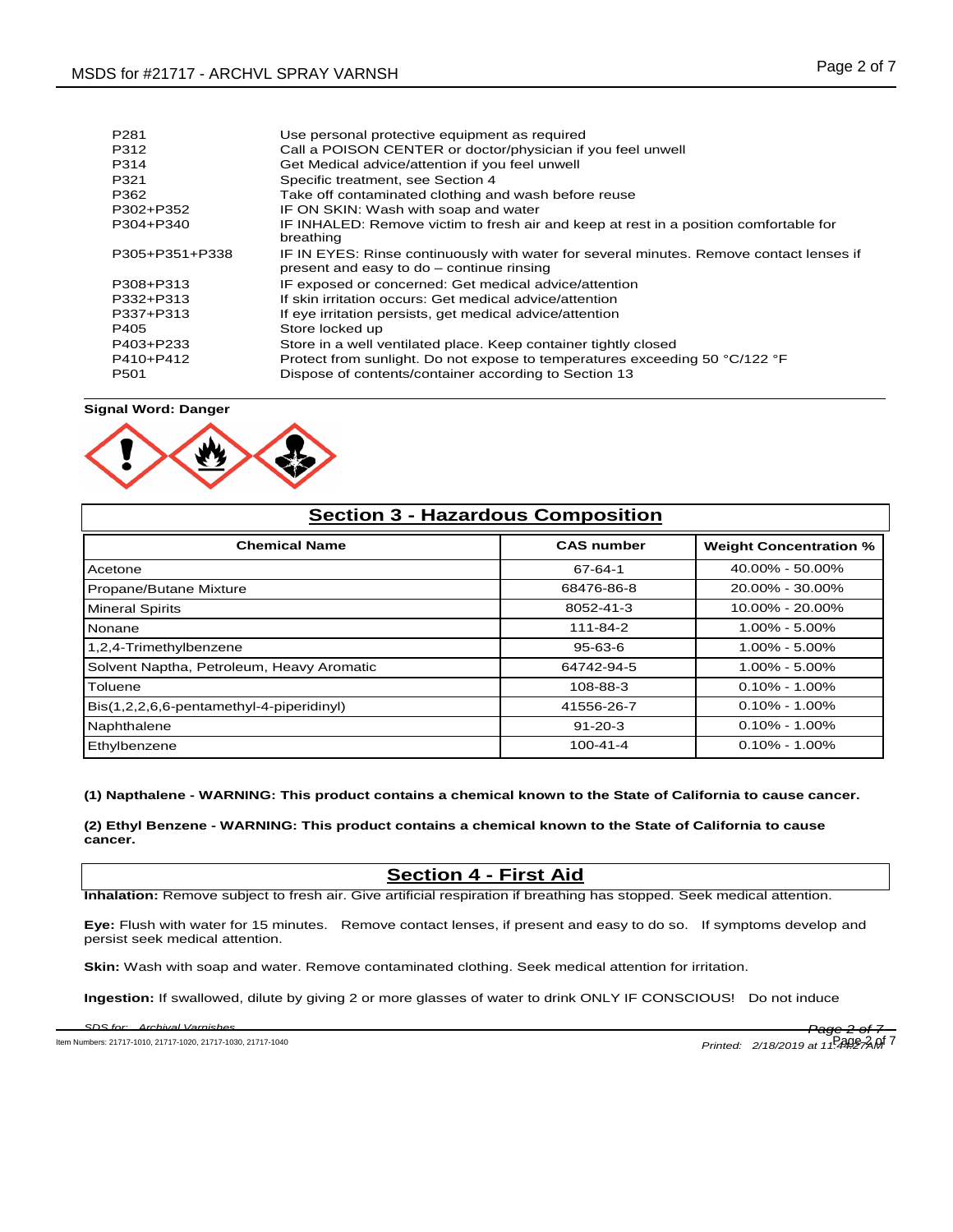| P <sub>281</sub><br>P312<br>P314<br>P321<br>P362<br>P302+P352 | Use personal protective equipment as required<br>Call a POISON CENTER or doctor/physician if you feel unwell<br>Get Medical advice/attention if you feel unwell<br>Specific treatment, see Section 4<br>Take off contaminated clothing and wash before reuse<br>IF ON SKIN: Wash with soap and water |
|---------------------------------------------------------------|------------------------------------------------------------------------------------------------------------------------------------------------------------------------------------------------------------------------------------------------------------------------------------------------------|
| P304+P340                                                     | IF INHALED: Remove victim to fresh air and keep at rest in a position comfortable for<br>breathing                                                                                                                                                                                                   |
| P305+P351+P338                                                | IF IN EYES: Rinse continuously with water for several minutes. Remove contact lenses if<br>present and easy to do - continue rinsing                                                                                                                                                                 |
| P308+P313                                                     | IF exposed or concerned: Get medical advice/attention                                                                                                                                                                                                                                                |
| P332+P313                                                     | If skin irritation occurs: Get medical advice/attention                                                                                                                                                                                                                                              |
| P337+P313                                                     | If eye irritation persists, get medical advice/attention                                                                                                                                                                                                                                             |
| P405                                                          | Store locked up                                                                                                                                                                                                                                                                                      |
| P403+P233                                                     | Store in a well ventilated place. Keep container tightly closed                                                                                                                                                                                                                                      |
| P410+P412                                                     | Protect from sunlight. Do not expose to temperatures exceeding 50 °C/122 °F                                                                                                                                                                                                                          |
| P <sub>501</sub>                                              | Dispose of contents/container according to Section 13                                                                                                                                                                                                                                                |

**Signal Word: Danger**



| <b>Section 3 - Hazardous Composition</b>  |                   |                               |  |
|-------------------------------------------|-------------------|-------------------------------|--|
| <b>Chemical Name</b>                      | <b>CAS number</b> | <b>Weight Concentration %</b> |  |
| Acetone                                   | 67-64-1           | $40.00\% - 50.00\%$           |  |
| Propane/Butane Mixture                    | 68476-86-8        | 20.00% - 30.00%               |  |
| <b>Mineral Spirits</b>                    | 8052-41-3         | $10.00\% - 20.00\%$           |  |
| <b>N</b> onane                            | 111-84-2          | $1.00\% - 5.00\%$             |  |
| 1,2,4-Trimethylbenzene                    | $95 - 63 - 6$     | $1.00\% - 5.00\%$             |  |
| Solvent Naptha, Petroleum, Heavy Aromatic | 64742-94-5        | $1.00\% - 5.00\%$             |  |
| Toluene                                   | 108-88-3          | $0.10\% - 1.00\%$             |  |
| Bis(1,2,2,6,6-pentamethyl-4-piperidinyl)  | 41556-26-7        | $0.10\% - 1.00\%$             |  |
| Naphthalene                               | $91 - 20 - 3$     | $0.10\% - 1.00\%$             |  |
| Ethylbenzene                              | $100 - 41 - 4$    | $0.10\% - 1.00\%$             |  |

#### **(1) Napthalene - WARNING: This product contains a chemical known to the State of California to cause cancer.**

**(2) Ethyl Benzene - WARNING: This product contains a chemical known to the State of California to cause cancer.** 

### **Section 4 - First Aid**

**Inhalation:** Remove subject to fresh air. Give artificial respiration if breathing has stopped. Seek medical attention.

**Eye:** Flush with water for 15 minutes. Remove contact lenses, if present and easy to do so. If symptoms develop and persist seek medical attention.

**Skin:** Wash with soap and water. Remove contaminated clothing. Seek medical attention for irritation.

**Ingestion:** If swallowed, dilute by giving 2 or more glasses of water to drink ONLY IF CONSCIOUS! Do not induce

*SDS for: Archival Varnishes Page 2 of 7* ltem Numbers: 21717-1010, 21717-1020, 21717-1030, 21717-1040 *Printed: 2/18/2019 at 11:44:05* **2 of 7**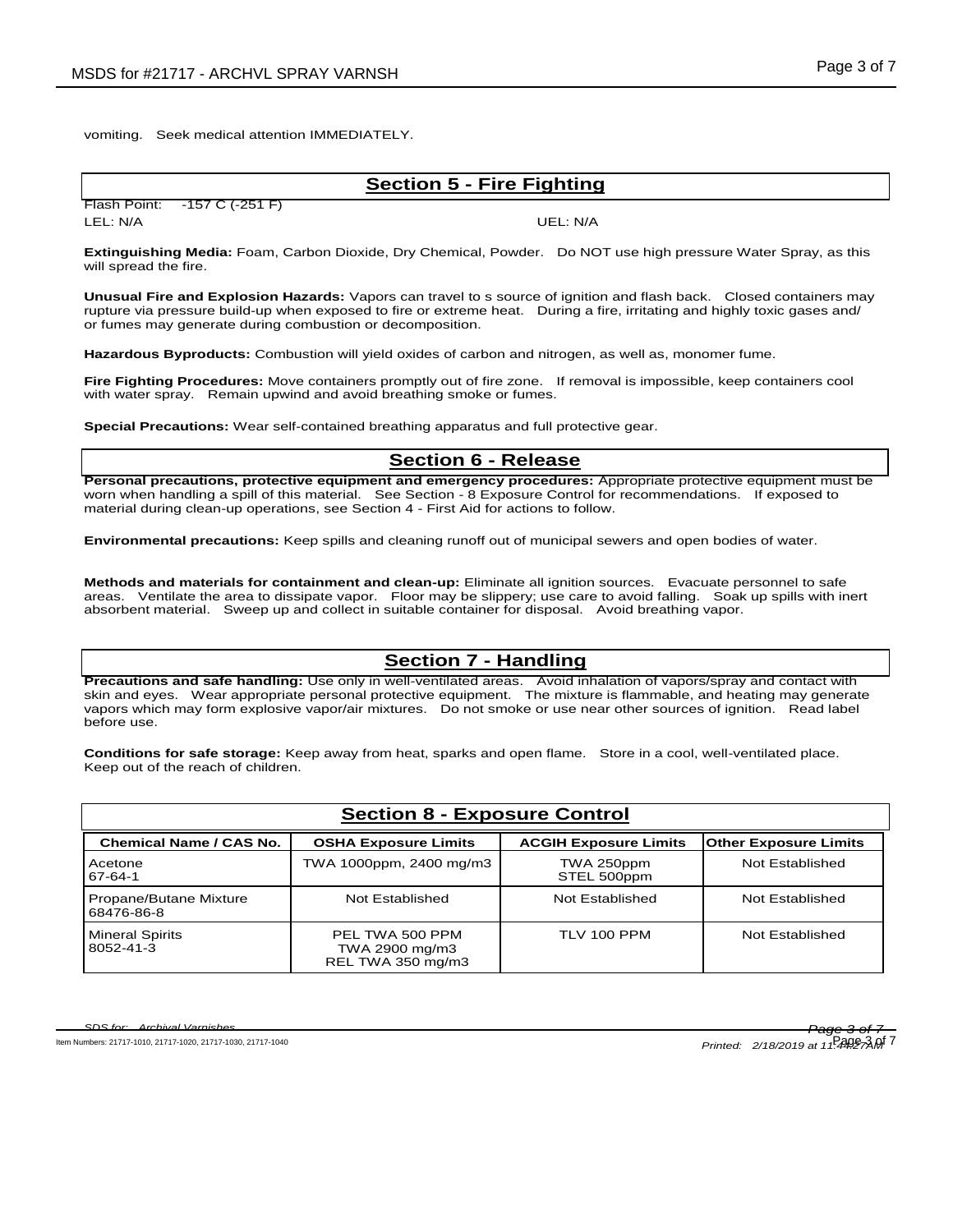vomiting. Seek medical attention IMMEDIATELY.

### **Section 5 - Fire Fighting**

Flash Point: -157 C (-251 F) LEL: N/A UEL: N/A

**Extinguishing Media:** Foam, Carbon Dioxide, Dry Chemical, Powder. Do NOT use high pressure Water Spray, as this will spread the fire.

**Unusual Fire and Explosion Hazards:** Vapors can travel to s source of ignition and flash back. Closed containers may rupture via pressure build-up when exposed to fire or extreme heat. During a fire, irritating and highly toxic gases and/ or fumes may generate during combustion or decomposition.

**Hazardous Byproducts:** Combustion will yield oxides of carbon and nitrogen, as well as, monomer fume.

**Fire Fighting Procedures:** Move containers promptly out of fire zone. If removal is impossible, keep containers cool with water spray. Remain upwind and avoid breathing smoke or fumes.

**Special Precautions:** Wear self-contained breathing apparatus and full protective gear.

# **Section 6 - Release**

**Personal precautions, protective equipment and emergency procedures:** Appropriate protective equipment must be worn when handling a spill of this material. See Section - 8 Exposure Control for recommendations. If exposed to material during clean-up operations, see Section 4 - First Aid for actions to follow.

**Environmental precautions:** Keep spills and cleaning runoff out of municipal sewers and open bodies of water.

**Methods and materials for containment and clean-up:** Eliminate all ignition sources. Evacuate personnel to safe areas. Ventilate the area to dissipate vapor. Floor may be slippery; use care to avoid falling. Soak up spills with inert absorbent material. Sweep up and collect in suitable container for disposal. Avoid breathing vapor.

## **Section 7 - Handling**

**Precautions and safe handling:** Use only in well-ventilated areas. Avoid inhalation of vapors/spray and contact with skin and eyes. Wear appropriate personal protective equipment. The mixture is flammable, and heating may generate vapors which may form explosive vapor/air mixtures. Do not smoke or use near other sources of ignition. Read label before use.

**Conditions for safe storage:** Keep away from heat, sparks and open flame. Store in a cool, well-ventilated place. Keep out of the reach of children.

| <b>Section 8 - Exposure Control</b>  |                                                        |                              |                       |  |
|--------------------------------------|--------------------------------------------------------|------------------------------|-----------------------|--|
| <b>Chemical Name / CAS No.</b>       | <b>OSHA Exposure Limits</b>                            | <b>ACGIH Exposure Limits</b> | Other Exposure Limits |  |
| Acetone<br>67-64-1                   | TWA 1000ppm, 2400 mg/m3                                | TWA 250ppm<br>STEL 500ppm    | Not Established       |  |
| Propane/Butane Mixture<br>68476-86-8 | Not Established                                        | Not Established              | Not Established       |  |
| <b>Mineral Spirits</b><br>8052-41-3  | PEL TWA 500 PPM<br>TWA 2900 mg/m3<br>REL TWA 350 mg/m3 | TLV 100 PPM                  | Not Established       |  |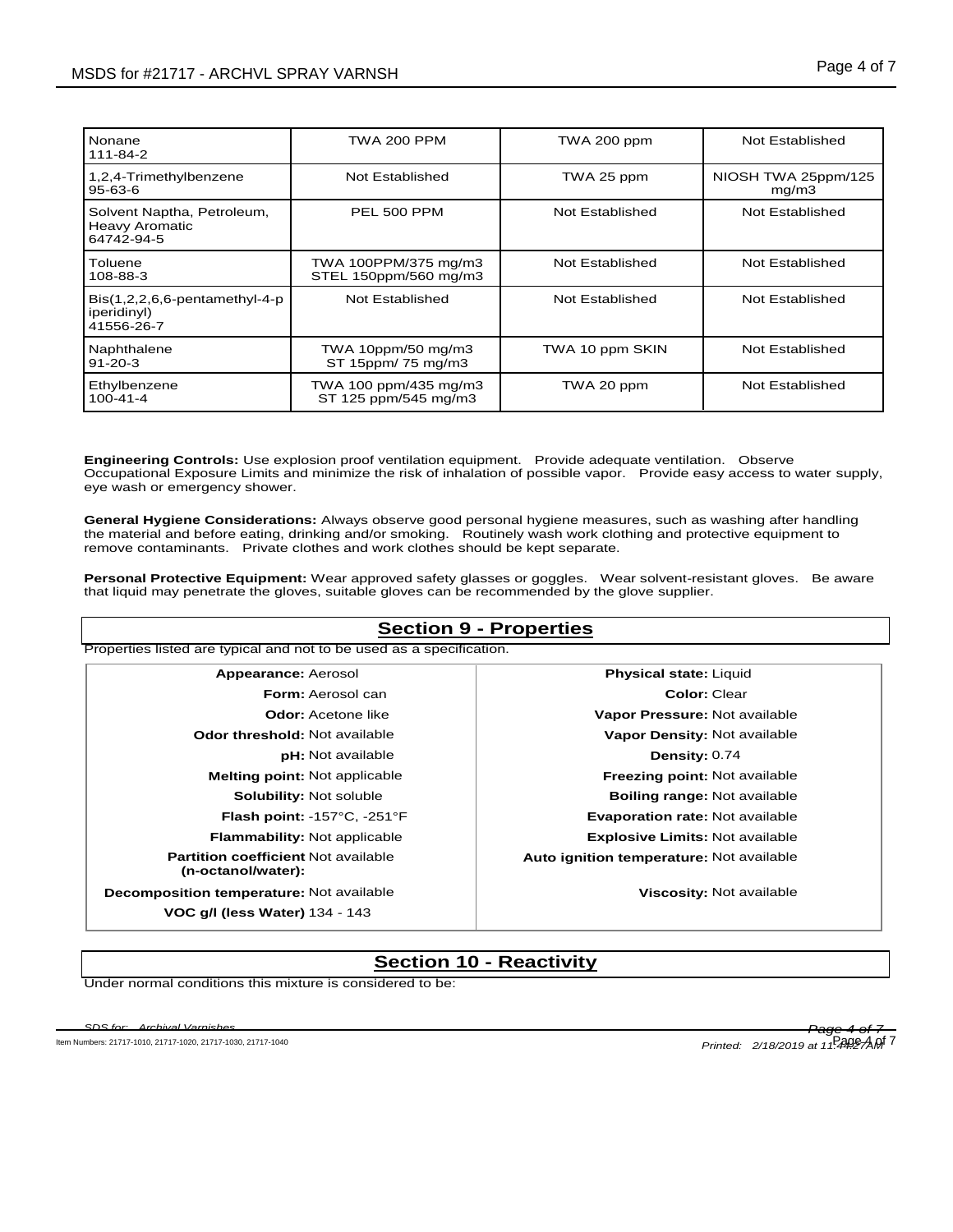| Nonane<br>111-84-2                                                | TWA 200 PPM                                   | TWA 200 ppm     | Not Established              |
|-------------------------------------------------------------------|-----------------------------------------------|-----------------|------------------------------|
| 1,2,4-Trimethylbenzene<br>95-63-6                                 | Not Established                               | TWA 25 ppm      | NIOSH TWA 25ppm/125<br>mq/m3 |
| Solvent Naptha, Petroleum,<br><b>Heavy Aromatic</b><br>64742-94-5 | PEL 500 PPM                                   | Not Established | Not Established              |
| Toluene<br>108-88-3                                               | TWA 100PPM/375 mg/m3<br>STEL 150ppm/560 mg/m3 | Not Established | Not Established              |
| $Bis(1,2,2,6,6-pentamentlyl-4-p)$<br>iperidinyl)<br>41556-26-7    | Not Established                               | Not Established | Not Established              |
| Naphthalene<br>$91 - 20 - 3$                                      | TWA 10ppm/50 mg/m3<br>ST 15ppm/ 75 mg/m3      | TWA 10 ppm SKIN | Not Established              |
| Ethylbenzene<br>$100 - 41 - 4$                                    | TWA 100 ppm/435 mg/m3<br>ST 125 ppm/545 mg/m3 | TWA 20 ppm      | Not Established              |

**Engineering Controls:** Use explosion proof ventilation equipment. Provide adequate ventilation. Observe Occupational Exposure Limits and minimize the risk of inhalation of possible vapor. Provide easy access to water supply, eye wash or emergency shower.

**General Hygiene Considerations:** Always observe good personal hygiene measures, such as washing after handling the material and before eating, drinking and/or smoking. Routinely wash work clothing and protective equipment to remove contaminants. Private clothes and work clothes should be kept separate.

**Personal Protective Equipment:** Wear approved safety glasses or goggles. Wear solvent-resistant gloves. Be aware that liquid may penetrate the gloves, suitable gloves can be recommended by the glove supplier.

# **Section 9 - Properties**

| Appearance: Aerosol                                              | <b>Physical state: Liquid</b>            |
|------------------------------------------------------------------|------------------------------------------|
| <b>Form: Aerosol can</b>                                         | Color: Clear                             |
| <b>Odor:</b> Acetone like                                        | Vapor Pressure: Not available            |
| <b>Odor threshold: Not available</b>                             | Vapor Density: Not available             |
| <b>pH:</b> Not available                                         | Density: 0.74                            |
| <b>Melting point:</b> Not applicable                             | <b>Freezing point: Not available</b>     |
| <b>Solubility: Not soluble</b>                                   | <b>Boiling range: Not available</b>      |
| Flash point: -157°C, -251°F                                      | <b>Evaporation rate: Not available</b>   |
| <b>Flammability: Not applicable</b>                              | <b>Explosive Limits: Not available</b>   |
| <b>Partition coefficient Not available</b><br>(n-octanol/water): | Auto ignition temperature: Not available |
| Decomposition temperature: Not available                         | Viscosity: Not available                 |
| VOC g/l (less Water) 134 - 143                                   |                                          |

# **Section 10 - Reactivity**

Under normal conditions this mixture is considered to be:

*SDS for: Archival Varnishes Page 4 of 7* ltem Numbers: 21717-1010, 21717-1020, 21717-1030, 21717-1040 **Printed: 2/18/2019 at 11:44:27AM<sup>T</sup>**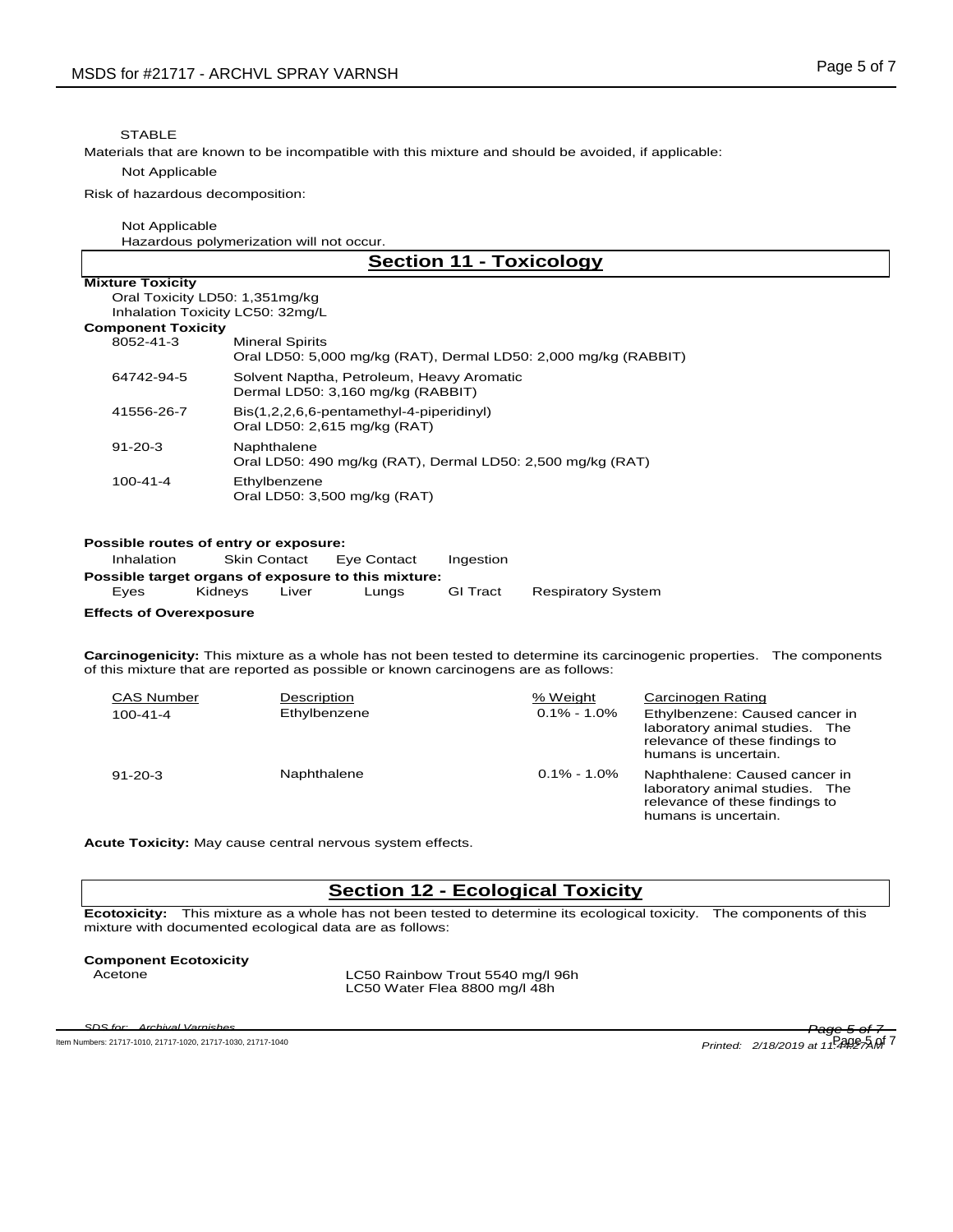### **STABLE**

Materials that are known to be incompatible with this mixture and should be avoided, if applicable:

#### Not Applicable

Risk of hazardous decomposition:

#### Not Applicable

Hazardous polymerization will not occur.

| <b>Section 11 - Toxicology</b>                                                                                                                                                                                                                     |                                                                                           |  |                             |                                                                                                                                                 |
|----------------------------------------------------------------------------------------------------------------------------------------------------------------------------------------------------------------------------------------------------|-------------------------------------------------------------------------------------------|--|-----------------------------|-------------------------------------------------------------------------------------------------------------------------------------------------|
| <b>Mixture Toxicity</b>                                                                                                                                                                                                                            |                                                                                           |  |                             |                                                                                                                                                 |
|                                                                                                                                                                                                                                                    | Oral Toxicity LD50: 1,351mg/kg                                                            |  |                             |                                                                                                                                                 |
|                                                                                                                                                                                                                                                    | Inhalation Toxicity LC50: 32mg/L                                                          |  |                             |                                                                                                                                                 |
| <b>Component Toxicity</b>                                                                                                                                                                                                                          |                                                                                           |  |                             |                                                                                                                                                 |
| 8052-41-3                                                                                                                                                                                                                                          | <b>Mineral Spirits</b><br>Oral LD50: 5,000 mg/kg (RAT), Dermal LD50: 2,000 mg/kg (RABBIT) |  |                             |                                                                                                                                                 |
| 64742-94-5                                                                                                                                                                                                                                         | Solvent Naptha, Petroleum, Heavy Aromatic<br>Dermal LD50: 3,160 mg/kg (RABBIT)            |  |                             |                                                                                                                                                 |
| 41556-26-7                                                                                                                                                                                                                                         | Bis(1,2,2,6,6-pentamethyl-4-piperidinyl)<br>Oral LD50: 2,615 mg/kg (RAT)                  |  |                             |                                                                                                                                                 |
| $91 - 20 - 3$                                                                                                                                                                                                                                      | Naphthalene<br>Oral LD50: 490 mg/kg (RAT), Dermal LD50: 2,500 mg/kg (RAT)                 |  |                             |                                                                                                                                                 |
| $100 - 41 - 4$                                                                                                                                                                                                                                     | Ethylbenzene<br>Oral LD50: 3,500 mg/kg (RAT)                                              |  |                             |                                                                                                                                                 |
| Possible routes of entry or exposure:<br><b>Skin Contact</b><br>Inhalation<br>Eye Contact<br>Ingestion<br>Possible target organs of exposure to this mixture:<br><b>GI Tract</b><br>Kidneys<br>Liver<br>Lungs<br>Eyes<br><b>Respiratory System</b> |                                                                                           |  |                             |                                                                                                                                                 |
| <b>Effects of Overexposure</b>                                                                                                                                                                                                                     |                                                                                           |  |                             |                                                                                                                                                 |
|                                                                                                                                                                                                                                                    | of this mixture that are reported as possible or known carcinogens are as follows:        |  |                             | Carcinogenicity: This mixture as a whole has not been tested to determine its carcinogenic properties. The components                           |
| <b>CAS Number</b><br>$100 - 41 - 4$                                                                                                                                                                                                                | Description<br>Ethylbenzene                                                               |  | % Weight<br>$0.1\% - 1.0\%$ | Carcinogen Rating<br>Ethylbenzene: Caused cancer in<br>laboratory animal studies. The<br>relevance of these findings to<br>humans is uncertain. |
| $91 - 20 - 3$                                                                                                                                                                                                                                      | Naphthalene                                                                               |  | $0.1\% - 1.0\%$             | Naphthalene: Caused cancer in<br>laboratory animal studies. The<br>relevance of these findings to<br>humans is uncertain.                       |
| Acute Toxicity: May cause central nervous system effects.                                                                                                                                                                                          |                                                                                           |  |                             |                                                                                                                                                 |

### **Section 12 - Ecological Toxicity**

**Ecotoxicity:** This mixture as a whole has not been tested to determine its ecological toxicity. The components of this mixture with documented ecological data are as follows:

# **Component Ecotoxicity**

LC50 Rainbow Trout 5540 mg/l 96h LC50 Water Flea 8800 mg/l 48h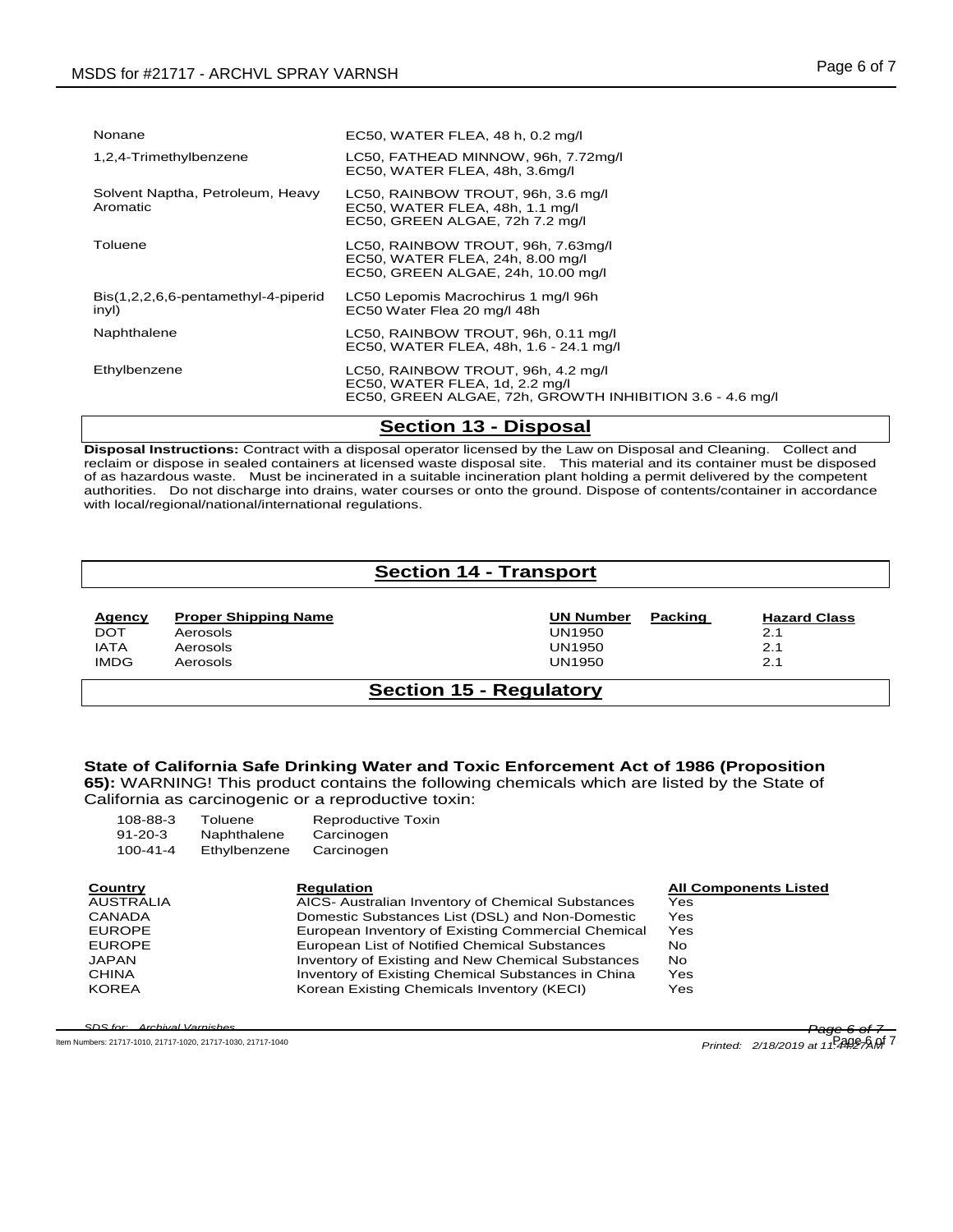| Nonane                                       | EC50, WATER FLEA, 48 h, 0.2 mg/l                                                                                                 |
|----------------------------------------------|----------------------------------------------------------------------------------------------------------------------------------|
| 1,2,4-Trimethylbenzene                       | LC50, FATHEAD MINNOW, 96h, 7.72mg/l<br>EC50, WATER FLEA, 48h, 3.6mg/l                                                            |
| Solvent Naptha, Petroleum, Heavy<br>Aromatic | LC50, RAINBOW TROUT, 96h, 3.6 mg/l<br>EC50, WATER FLEA, 48h, 1.1 mg/l<br>EC50, GREEN ALGAE, 72h 7.2 mg/l                         |
| Toluene                                      | LC50, RAINBOW TROUT, 96h, 7.63mg/l<br>EC50, WATER FLEA, 24h, 8.00 mg/l<br>EC50, GREEN ALGAE, 24h, 10.00 mg/l                     |
| Bis(1,2,2,6,6-pentamethyl-4-piperid<br>inyl) | LC50 Lepomis Macrochirus 1 mg/l 96h<br>EC50 Water Flea 20 mg/l 48h                                                               |
| Naphthalene                                  | LC50, RAINBOW TROUT, 96h, 0.11 mg/l<br>EC50, WATER FLEA, 48h, 1.6 - 24.1 mg/l                                                    |
| Ethylbenzene                                 | LC50, RAINBOW TROUT, 96h, 4.2 mg/l<br>EC50, WATER FLEA, 1d, 2.2 mg/l<br>EC50, GREEN ALGAE, 72h, GROWTH INHIBITION 3.6 - 4.6 mg/l |

### **Section 13 - Disposal**

**Disposal Instructions:** Contract with a disposal operator licensed by the Law on Disposal and Cleaning. Collect and reclaim or dispose in sealed containers at licensed waste disposal site. This material and its container must be disposed of as hazardous waste. Must be incinerated in a suitable incineration plant holding a permit delivered by the competent authorities. Do not discharge into drains, water courses or onto the ground. Dispose of contents/container in accordance with local/regional/national/international regulations.

# **Section 14 - Transport**

| <b>Agency</b> | <b>Proper Shipping Name</b> | <b>UN Number</b> | Packing | Ha: |
|---------------|-----------------------------|------------------|---------|-----|
| <b>DOT</b>    | Aerosols                    | UN1950           |         | 2.1 |
| <b>IATA</b>   | Aerosols                    | <b>UN1950</b>    |         | 2.1 |
| <b>IMDG</b>   | Aerosols                    | UN1950           |         | 2.1 |

**Hazard Class**

## **Section 15 - Regulatory**

# **State of California Safe Drinking Water and Toxic Enforcement Act of 1986 (Proposition**

**65):** WARNING! This product contains the following chemicals which are listed by the State of California as carcinogenic or a reproductive toxin:

| 108-88-3         | Toluene      | Reproductive Toxin                |
|------------------|--------------|-----------------------------------|
| $91 - 20 - 3$    | Naphthalene  | Carcinogen                        |
| $100 - 41 - 4$   | Ethylbenzene | Carcinogen                        |
|                  |              |                                   |
| Country          |              | <b>Regulation</b>                 |
| <b>AUSTRALIA</b> |              | AICS- Australian Inventory of Che |

| Country       | <b>Regulation</b>                                  | <b>All Components Listed</b> |
|---------------|----------------------------------------------------|------------------------------|
| AUSTRALIA     | AICS- Australian Inventory of Chemical Substances  | Yes                          |
| <b>CANADA</b> | Domestic Substances List (DSL) and Non-Domestic    | Yes                          |
| <b>EUROPE</b> | European Inventory of Existing Commercial Chemical | Yes                          |
| <b>EUROPE</b> | European List of Notified Chemical Substances      | No                           |
| <b>JAPAN</b>  | Inventory of Existing and New Chemical Substances  | No.                          |
| <b>CHINA</b>  | Inventory of Existing Chemical Substances in China | Yes                          |
| <b>KOREA</b>  | Korean Existing Chemicals Inventory (KECI)         | Yes                          |

*SDS for: Archival Varnishes Page 6 of 7*